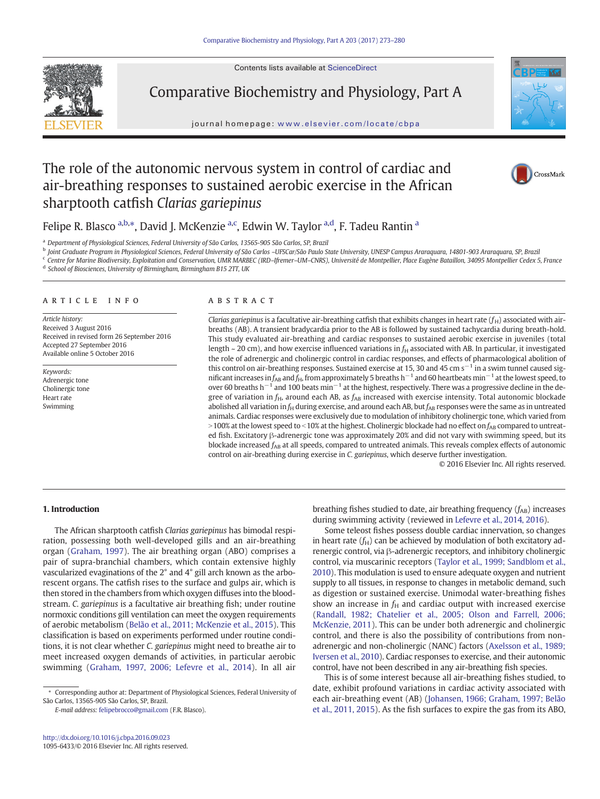Contents lists available at ScienceDirect



Comparative Biochemistry and Physiology, Part A

journal homepage: <www.elsevier.com/locate/cbpa>



# The role of the autonomic nervous system in control of cardiac and air-breathing responses to sustained aerobic exercise in the African sharptooth catfish Clarias gariepinus



Felipe R. Blasco <sup>a,b,</sup>\*, David J. McKenzie <sup>a,c</sup>, Edwin W. Taylor <sup>a,d</sup>, F. Tadeu Rantin <sup>a</sup>

<sup>a</sup> Department of Physiological Sciences, Federal University of São Carlos, 13565-905 São Carlos, SP, Brazil

<sup>b</sup> Joint Graduate Program in Physiological Sciences, Federal University of São Carlos –UFSCar/São Paulo State University, UNESP Campus Araraquara, 14801-903 Araraquara, SP, Brazil

<sup>c</sup> Centre for Marine Biodiversity, Exploitation and Conservation, UMR MARBEC (IRD–Ifremer–UM–CNRS), Université de Montpellier, Place Eugène Bataillon, 34095 Montpellier Cedex 5, France <sup>d</sup> School of Biosciences, University of Birmingham, Birmingham B15 2TT, UK

#### article info abstract

Article history: Received 3 August 2016 Received in revised form 26 September 2016 Accepted 27 September 2016 Available online 5 October 2016

Keywords: Adrenergic tone Cholinergic tone Heart rate Swimming

Clarias gariepinus is a facultative air-breathing catfish that exhibits changes in heart rate  $(f_H)$  associated with airbreaths (AB). A transient bradycardia prior to the AB is followed by sustained tachycardia during breath-hold. This study evaluated air-breathing and cardiac responses to sustained aerobic exercise in juveniles (total length  $\sim$  20 cm), and how exercise influenced variations in  $f_H$  associated with AB. In particular, it investigated the role of adrenergic and cholinergic control in cardiac responses, and effects of pharmacological abolition of this control on air-breathing responses. Sustained exercise at 15, 30 and 45 cm s−<sup>1</sup> in a swim tunnel caused significant increases in  $f_{AB}$  and  $f_{H}$ , from approximately 5 breaths h<sup>-1</sup> and 60 heartbeats min<sup>-1</sup> at the lowest speed, to over 60 breaths h<sup>-1</sup> and 100 beats min<sup>-1</sup> at the highest, respectively. There was a progressive decline in the degree of variation in  $f_{\rm H}$ , around each AB, as  $f_{\rm AB}$  increased with exercise intensity. Total autonomic blockade abolished all variation in  $f_H$  during exercise, and around each AB, but  $f_{AB}$  responses were the same as in untreated animals. Cardiac responses were exclusively due to modulation of inhibitory cholinergic tone, which varied from  $>$  100% at the lowest speed to < 10% at the highest. Cholinergic blockade had no effect on  $f_{AB}$  compared to untreated fish. Excitatory β-adrenergic tone was approximately 20% and did not vary with swimming speed, but its blockade increased  $f_{AR}$  at all speeds, compared to untreated animals. This reveals complex effects of autonomic control on air-breathing during exercise in C. gariepinus, which deserve further investigation.

© 2016 Elsevier Inc. All rights reserved.

# 1. Introduction

The African sharptooth catfish Clarias gariepinus has bimodal respiration, possessing both well-developed gills and an air-breathing organ [\(Graham, 1997\)](#page-6-0). The air breathing organ (ABO) comprises a pair of supra-branchial chambers, which contain extensive highly vascularized evaginations of the 2° and 4° gill arch known as the arborescent organs. The catfish rises to the surface and gulps air, which is then stored in the chambers from which oxygen diffuses into the bloodstream. C. gariepinus is a facultative air breathing fish; under routine normoxic conditions gill ventilation can meet the oxygen requirements of aerobic metabolism [\(Belão et al., 2011; McKenzie et al., 2015](#page-6-0)). This classification is based on experiments performed under routine conditions, it is not clear whether C. gariepinus might need to breathe air to meet increased oxygen demands of activities, in particular aerobic swimming [\(Graham, 1997, 2006; Lefevre et al., 2014\)](#page-6-0). In all air

E-mail address: [felipebrocco@gmail.com](mailto:felipebrocco@gmail.com) (F.R. Blasco).

breathing fishes studied to date, air breathing frequency  $(f_{AB})$  increases during swimming activity (reviewed in [Lefevre et al., 2014, 2016](#page-6-0)).

Some teleost fishes possess double cardiac innervation, so changes in heart rate  $(f_H)$  can be achieved by modulation of both excitatory adrenergic control, via β-adrenergic receptors, and inhibitory cholinergic control, via muscarinic receptors [\(Taylor et al., 1999; Sandblom et al.,](#page-7-0) [2010](#page-7-0)). This modulation is used to ensure adequate oxygen and nutrient supply to all tissues, in response to changes in metabolic demand, such as digestion or sustained exercise. Unimodal water-breathing fishes show an increase in  $f_H$  and cardiac output with increased exercise [\(Randall, 1982; Chatelier et al., 2005; Olson and Farrell, 2006;](#page-6-0) [McKenzie, 2011\)](#page-6-0). This can be under both adrenergic and cholinergic control, and there is also the possibility of contributions from nonadrenergic and non-cholinergic (NANC) factors ([Axelsson et al., 1989;](#page-6-0) [Iversen et al., 2010](#page-6-0)). Cardiac responses to exercise, and their autonomic control, have not been described in any air-breathing fish species.

This is of some interest because all air-breathing fishes studied, to date, exhibit profound variations in cardiac activity associated with each air-breathing event (AB) [\(Johansen, 1966; Graham, 1997; Belão](#page-6-0) [et al., 2011, 2015](#page-6-0)). As the fish surfaces to expire the gas from its ABO,

<sup>⁎</sup> Corresponding author at: Department of Physiological Sciences, Federal University of São Carlos, 13565-905 São Carlos, SP, Brazil.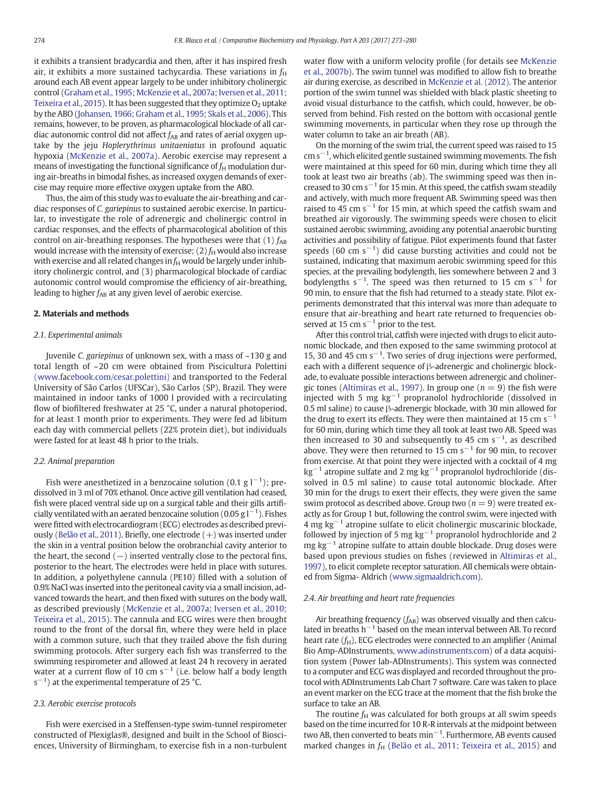it exhibits a transient bradycardia and then, after it has inspired fresh air, it exhibits a more sustained tachycardia. These variations in  $f_H$ around each AB event appear largely to be under inhibitory cholinergic control [\(Graham et al., 1995; McKenzie et al., 2007a; Iversen et al., 2011;](#page-6-0) [Teixeira et al., 2015](#page-6-0)). It has been suggested that they optimize  $O<sub>2</sub>$  uptake by the ABO [\(Johansen, 1966; Graham et al., 1995; Skals et al., 2006](#page-6-0)). This remains, however, to be proven, as pharmacological blockade of all cardiac autonomic control did not affect  $f_{AB}$  and rates of aerial oxygen uptake by the jeju Hoplerythrinus unitaeniatus in profound aquatic hypoxia [\(McKenzie et al., 2007a](#page-6-0)). Aerobic exercise may represent a means of investigating the functional significance of  $f_H$  modulation during air-breaths in bimodal fishes, as increased oxygen demands of exercise may require more effective oxygen uptake from the ABO.

Thus, the aim of this study was to evaluate the air-breathing and cardiac responses of C. gariepinus to sustained aerobic exercise. In particular, to investigate the role of adrenergic and cholinergic control in cardiac responses, and the effects of pharmacological abolition of this control on air-breathing responses. The hypotheses were that  $(1)$   $f_{AB}$ would increase with the intensity of exercise;  $(2) f_H$  would also increase with exercise and all related changes in  $f_H$  would be largely under inhibitory cholinergic control, and (3) pharmacological blockade of cardiac autonomic control would compromise the efficiency of air-breathing, leading to higher  $f_{AB}$  at any given level of aerobic exercise.

## 2. Materials and methods

# 2.1. Experimental animals

Juvenile C. gariepinus of unknown sex, with a mass of ~130 g and total length of ~20 cm were obtained from Piscicultura Polettini [\(www.](http://www.facebook.com/cesar.polettini))fa[cebook.com/cesar.polettini\)](http://www.facebook.com/cesar.polettini)) and transported to the Federal University of São Carlos (UFSCar), São Carlos (SP), Brazil. They were maintained in indoor tanks of 1000 l provided with a recirculating flow of biofiltered freshwater at 25 °C, under a natural photoperiod, for at least 1 month prior to experiments. They were fed ad libitum each day with commercial pellets (22% protein diet), but individuals were fasted for at least 48 h prior to the trials.

# 2.2. Animal preparation

Fish were anesthetized in a benzocaine solution (0.1 g  $l^{-1}$ ); predissolved in 3 ml of 70% ethanol. Once active gill ventilation had ceased, fish were placed ventral side up on a surgical table and their gills artificially ventilated with an aerated benzocaine solution (0.05 g l $^{-1}$ ). Fishes were fitted with electrocardiogram (ECG) electrodes as described previ-ously ([Belão et al., 2011](#page-6-0)). Briefly, one electrode  $(+)$  was inserted under the skin in a ventral position below the orobranchial cavity anterior to the heart, the second  $(-)$  inserted ventrally close to the pectoral fins, posterior to the heart. The electrodes were held in place with sutures. In addition, a polyethylene cannula (PE10) filled with a solution of 0.9% NaCl was inserted into the peritoneal cavity via a small incision, advanced towards the heart, and then fixed with sutures on the body wall, as described previously [\(McKenzie et al., 2007a; Iversen et al., 2010;](#page-6-0) [Teixeira et al., 2015\)](#page-6-0). The cannula and ECG wires were then brought round to the front of the dorsal fin, where they were held in place with a common suture, such that they trailed above the fish during swimming protocols. After surgery each fish was transferred to the swimming respirometer and allowed at least 24 h recovery in aerated water at a current flow of 10 cm  $s^{-1}$  (i.e. below half a body length  $s^{-1}$ ) at the experimental temperature of 25 °C.

# 2.3. Aerobic exercise protocols

Fish were exercised in a Steffensen-type swim-tunnel respirometer constructed of Plexiglas®, designed and built in the School of Biosciences, University of Birmingham, to exercise fish in a non-turbulent water flow with a uniform velocity profile (for details see [McKenzie](#page-6-0) [et al., 2007b\)](#page-6-0). The swim tunnel was modified to allow fish to breathe air during exercise, as described in [McKenzie et al. \(2012\).](#page-6-0) The anterior portion of the swim tunnel was shielded with black plastic sheeting to avoid visual disturbance to the catfish, which could, however, be observed from behind. Fish rested on the bottom with occasional gentle swimming movements, in particular when they rose up through the water column to take an air breath (AB).

On the morning of the swim trial, the current speed was raised to 15 cm s<sup>-1</sup>, which elicited gentle sustained swimming movements. The fish were maintained at this speed for 60 min, during which time they all took at least two air breaths (ab). The swimming speed was then increased to 30 cm  $s^{-1}$  for 15 min. At this speed, the catfish swam steadily and actively, with much more frequent AB. Swimming speed was then raised to 45 cm  $s^{-1}$  for 15 min, at which speed the catfish swam and breathed air vigorously. The swimming speeds were chosen to elicit sustained aerobic swimming, avoiding any potential anaerobic bursting activities and possibility of fatigue. Pilot experiments found that faster speeds (60 cm  $s^{-1}$ ) did cause bursting activities and could not be sustained, indicating that maximum aerobic swimming speed for this species, at the prevailing bodylength, lies somewhere between 2 and 3 bodylengths  $s^{-1}$ . The speed was then returned to 15 cm  $s^{-1}$  for 90 min, to ensure that the fish had returned to a steady state. Pilot experiments demonstrated that this interval was more than adequate to ensure that air-breathing and heart rate returned to frequencies observed at 15 cm  $s^{-1}$  prior to the test.

After this control trial, catfish were injected with drugs to elicit autonomic blockade, and then exposed to the same swimming protocol at 15, 30 and 45 cm s−<sup>1</sup> . Two series of drug injections were performed, each with a different sequence of β-adrenergic and cholinergic blockade, to evaluate possible interactions between adrenergic and choliner-gic tones [\(Altimiras et al., 1997](#page-6-0)). In group one ( $n = 9$ ) the fish were injected with 5 mg kg−<sup>1</sup> propranolol hydrochloride (dissolved in 0.5 ml saline) to cause β-adrenergic blockade, with 30 min allowed for the drug to exert its effects. They were then maintained at 15 cm  $s^{-1}$ for 60 min, during which time they all took at least two AB. Speed was then increased to 30 and subsequently to 45 cm  $s^{-1}$ , as described above. They were then returned to 15 cm  $s^{-1}$  for 90 min, to recover from exercise. At that point they were injected with a cocktail of 4 mg kg−<sup>1</sup> atropine sulfate and 2 mg kg−<sup>1</sup> propranolol hydrochloride (dissolved in 0.5 ml saline) to cause total autonomic blockade. After 30 min for the drugs to exert their effects, they were given the same swim protocol as described above. Group two  $(n = 9)$  were treated exactly as for Group 1 but, following the control swim, were injected with  $4 \text{ mg kg}^{-1}$  atropine sulfate to elicit cholinergic muscarinic blockade, followed by injection of 5 mg kg<sup> $-1$ </sup> propranolol hydrochloride and 2 mg kg<sup>−1</sup> atropine sulfate to attain double blockade. Drug doses were based upon previous studies on fishes (reviewed in [Altimiras et al.,](#page-6-0) [1997\)](#page-6-0), to elicit complete receptor saturation. All chemicals were obtained from Sigma- Aldrich [\(www.sigmaaldrich.com](http://www.sigmaaldrich.com/)).

# 2.4. Air breathing and heart rate frequencies

Air breathing frequency  $(f_{AB})$  was observed visually and then calculated in breaths  $h^{-1}$  based on the mean interval between AB. To record heart rate  $(f_H)$ , ECG electrodes were connected to an amplifier (Animal Bio Amp-ADInstruments, [www.adinstruments.com\)](http://www.adinstruments.com) of a data acquisition system (Power lab-ADInstruments). This system was connected to a computer and ECG was displayed and recorded throughout the protocol with ADInstruments Lab Chart 7 software. Care was taken to place an event marker on the ECG trace at the moment that the fish broke the surface to take an AB.

The routine  $f_H$  was calculated for both groups at all swim speeds based on the time incurred for 10 R-R intervals at the midpoint between two AB, then converted to beats min−<sup>1</sup> . Furthermore, AB events caused marked changes in  $f_H$  ([Belão et al., 2011; Teixeira et al., 2015\)](#page-6-0) and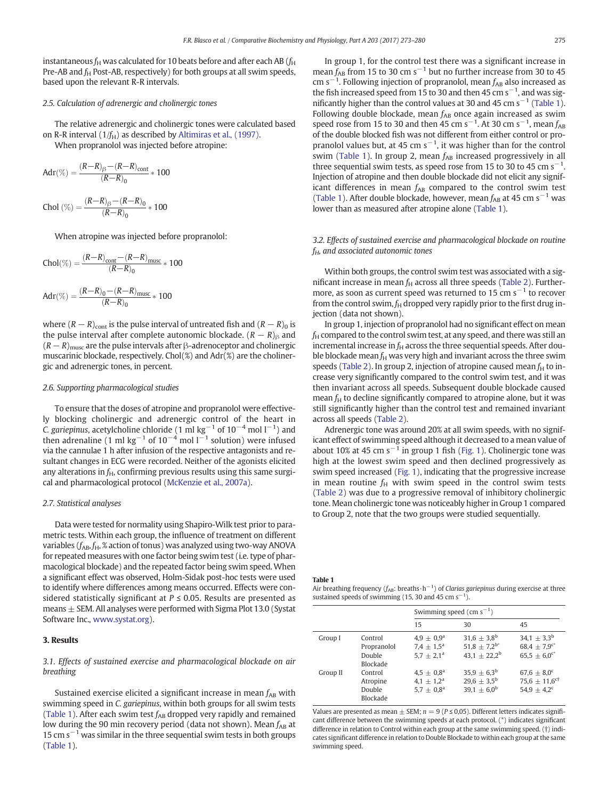instantaneous  $f_H$  was calculated for 10 beats before and after each AB ( $f_H$ ) Pre-AB and  $f_H$  Post-AB, respectively) for both groups at all swim speeds, based upon the relevant R-R intervals.

# 2.5. Calculation of adrenergic and cholinergic tones

The relative adrenergic and cholinergic tones were calculated based on R-R interval  $(1/f_H)$  as described by [Altimiras et al., \(1997\)](#page-6-0). When propranolol was injected before atropine:

$$
Adr(\%) = \frac{(R - R)_{\beta} - (R - R)_{\text{cont}}}{(R - R)_{0}} \times 100
$$

Chol 
$$
(\%) = \frac{(R-R)_\beta - (R-R)_0}{(R-R)_0} \times 100
$$

When atropine was injected before propranolol:

Chol(
$$
\%
$$
) =  $\frac{(R-R)_{\text{cont}} - (R-R)_{\text{musc}}}{(R-R)_0} * 100$ 

$$
Adr(\%) = \frac{(R - R)_0 - (R - R)_{\text{musc}}}{(R - R)_0} * 100
$$

where  $(R - R)_{\text{cont}}$  is the pulse interval of untreated fish and  $(R - R)_{0}$  is the pulse interval after complete autonomic blockade.  $(R - R)_{\beta}$  and  $(R - R)_{\text{musc}}$  are the pulse intervals after β-adrenoceptor and cholinergic muscarinic blockade, respectively. Chol(%) and Adr(%) are the cholinergic and adrenergic tones, in percent.

#### 2.6. Supporting pharmacological studies

To ensure that the doses of atropine and propranolol were effectively blocking cholinergic and adrenergic control of the heart in C. gariepinus, acetylcholine chloride (1 ml  $\text{kg}^{-1}$  of 10<sup>-4</sup> mol l<sup>-1</sup>) and then adrenaline (1 ml kg<sup>-1</sup> of 10<sup>-4</sup> mol l<sup>-1</sup> solution) were infused via the cannulae 1 h after infusion of the respective antagonists and resultant changes in ECG were recorded. Neither of the agonists elicited any alterations in  $f_H$ , confirming previous results using this same surgical and pharmacological protocol ([McKenzie et al., 2007a](#page-6-0)).

# 2.7. Statistical analyses

Data were tested for normality using Shapiro-Wilk test prior to parametric tests. Within each group, the influence of treatment on different variables ( $f_{AB}$ ,  $f_H$ , % action of tonus) was analyzed using two-way ANOVA for repeated measures with one factor being swim test (i.e. type of pharmacological blockade) and the repeated factor being swim speed. When a significant effect was observed, Holm-Sidak post-hoc tests were used to identify where differences among means occurred. Effects were considered statistically significant at  $P \le 0.05$ . Results are presented as means  $\pm$  SEM. All analyses were performed with Sigma Plot 13.0 (Systat Software Inc., [www.systat.org](http://www.systat.org/)).

#### 3. Results

3.1. Effects of sustained exercise and pharmacological blockade on air breathing

Sustained exercise elicited a significant increase in mean  $f_{AB}$  with swimming speed in C. gariepinus, within both groups for all swim tests (Table 1). After each swim test  $f_{AB}$  dropped very rapidly and remained low during the 90 min recovery period (data not shown). Mean  $f_{AB}$  at 15 cm  $s^{-1}$  was similar in the three sequential swim tests in both groups (Table 1).

In group 1, for the control test there was a significant increase in mean  $f_{AB}$  from 15 to 30 cm s<sup>-1</sup> but no further increase from 30 to 45 cm s<sup>-1</sup>. Following injection of propranolol, mean  $f_{AB}$  also increased as the fish increased speed from 15 to 30 and then 45 cm s<sup> $-1$ </sup>, and was significantly higher than the control values at 30 and 45 cm s<sup> $-1$ </sup> (Table 1). Following double blockade, mean  $f_{AB}$  once again increased as swim speed rose from 15 to 30 and then 45 cm s<sup>-1</sup>. At 30 cm s<sup>-1</sup>, mean  $f_{AB}$ of the double blocked fish was not different from either control or propranolol values but, at 45 cm  $s^{-1}$ , it was higher than for the control swim (Table 1). In group 2, mean  $f_{AB}$  increased progressively in all three sequential swim tests, as speed rose from 15 to 30 to 45 cm  $s^{-1}$ . Injection of atropine and then double blockade did not elicit any significant differences in mean  $f_{AB}$  compared to the control swim test (Table 1). After double blockade, however, mean  $f_{AB}$  at 45 cm s<sup>-1</sup> was lower than as measured after atropine alone (Table 1).

# 3.2. Effects of sustained exercise and pharmacological blockade on routine  $f_H$ , and associated autonomic tones

Within both groups, the control swim test was associated with a significant increase in mean  $f_H$  across all three speeds [\(Table 2](#page-3-0)). Furthermore, as soon as current speed was returned to 15 cm  $s^{-1}$  to recover from the control swim,  $f_H$  dropped very rapidly prior to the first drug injection (data not shown).

In group 1, injection of propranolol had no significant effect on mean  $f_H$  compared to the control swim test, at any speed, and there was still an incremental increase in  $f_H$  across the three sequential speeds. After double blockade mean  $f_H$  was very high and invariant across the three swim speeds [\(Table 2](#page-3-0)). In group 2, injection of atropine caused mean  $f_H$  to increase very significantly compared to the control swim test, and it was then invariant across all speeds. Subsequent double blockade caused mean  $f_H$  to decline significantly compared to atropine alone, but it was still significantly higher than the control test and remained invariant across all speeds ([Table 2](#page-3-0)).

Adrenergic tone was around 20% at all swim speeds, with no significant effect of swimming speed although it decreased to a mean value of about 10% at 45 cm s<sup> $-1$ </sup> in group 1 fish [\(Fig. 1](#page-3-0)). Cholinergic tone was high at the lowest swim speed and then declined progressively as swim speed increased ([Fig. 1\)](#page-3-0), indicating that the progressive increase in mean routine  $f_H$  with swim speed in the control swim tests [\(Table 2\)](#page-3-0) was due to a progressive removal of inhibitory cholinergic tone. Mean cholinergic tone was noticeably higher in Group 1 compared to Group 2, note that the two groups were studied sequentially.

Table 1

Air breathing frequency ( $f_{AB}$ : breaths·h<sup>-1</sup>) of Clarias gariepinus during exercise at three sustained speeds of swimming (15, 30 and 45 cm  $s^{-1}$ ).

|          |                                              | Swimming speed (cm $s^{-1}$ )                                 |                                                                           |                                                                                        |  |
|----------|----------------------------------------------|---------------------------------------------------------------|---------------------------------------------------------------------------|----------------------------------------------------------------------------------------|--|
|          |                                              | 15                                                            | 30                                                                        | 45                                                                                     |  |
| Group I  | Control<br>Propranolol<br>Double<br>Blockade | $4.9 + 0.9a$<br>$7.4 \pm 1.5^{\rm a}$<br>$5.7 + 2.1a$         | $31.6 \pm 3.8^{\rm b}$<br>$51.8 \pm 7.2^{b*}$<br>$43.1 + 22.2^b$          | $34.1 + 3.3^{b}$<br>$68.4 \pm 7.9$ <sup>c*</sup><br>$65.5 \pm 6.0$ <sup>c*</sup>       |  |
| Group II | Control<br>Atropine<br>Double<br>Blockade    | $4.5 + 0.8^{\rm a}$<br>$4.1 \pm 1.2^{\rm a}$<br>$5.7 + 0.8^a$ | $35.9 + 6.3^{b}$<br>$29.6 \pm 3.5^{\rm b}$<br>39,1 $\pm$ 6,0 <sup>b</sup> | $67.6 \pm 8.0^{\circ}$<br>$75.6 \pm 11.6$ <sup>ct</sup><br>54,9 $\pm$ 4,2 <sup>c</sup> |  |

Values are presented as mean  $\pm$  SEM;  $n = 9$  ( $P \le 0.05$ ). Different letters indicates significant difference between the swimming speeds at each protocol. (\*) indicates significant difference in relation to Control within each group at the same swimming speed. (†) indicates significant difference in relation to Double Blockade to within each group at the same swimming speed.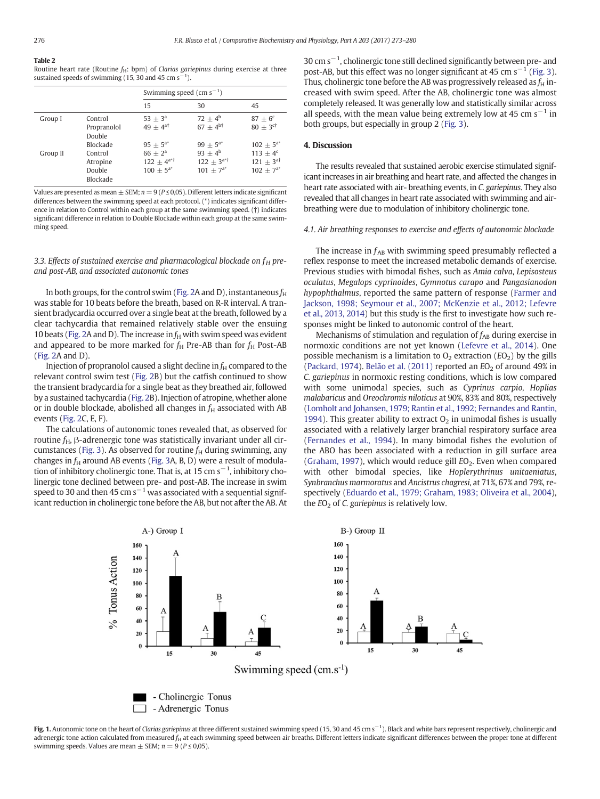#### <span id="page-3-0"></span>Table 2

Routine heart rate (Routine  $f_H$ : bpm) of Clarias gariepinus during exercise at three sustained speeds of swimming (15, 30 and 45 cm  $s^{-1}$ ).

|          |                                                       | Swimming speed $\text{(cm s}^{-1})$                                         |                                                                  |                                                                       |  |
|----------|-------------------------------------------------------|-----------------------------------------------------------------------------|------------------------------------------------------------------|-----------------------------------------------------------------------|--|
|          |                                                       | 15                                                                          | 30                                                               | 45                                                                    |  |
| Group I  | Control<br>Propranolol<br>Double                      | $53 + 3^{\rm a}$<br>$49 + 4^{a\dagger}$                                     | $72 + 4^b$<br>$67 + 4^{b\dagger}$                                | $87 + 6^{\circ}$<br>$80 + 3$ <sup>ct</sup>                            |  |
| Group II | Blockade<br>Control<br>Atropine<br>Double<br>Blockade | $95 + 5^{a*}$<br>$66 + 2^a$<br>$122 \pm 4^{a^{*}\dagger}$<br>$100 + 5^{a*}$ | $99 + 5^{a*}$<br>$93 + 4^b$<br>$122 + 3^{a+1}$<br>$101 + 7^{a*}$ | $102 \pm 5^{a*}$<br>113 $\pm 4^c$<br>$121 + 3^{11}$<br>$102 + 7^{a*}$ |  |

Values are presented as mean  $\pm$  SEM;  $n = 9$  ( $P \le 0.05$ ). Different letters indicate significant differences between the swimming speed at each protocol. (\*) indicates significant difference in relation to Control within each group at the same swimming speed. (†) indicates significant difference in relation to Double Blockade within each group at the same swimming speed.

# 3.3. Effects of sustained exercise and pharmacological blockade on  $f_H$  preand post-AB, and associated autonomic tones

In both groups, for the control swim [\(Fig. 2](#page-4-0)A and D), instantaneous  $f_H$ was stable for 10 beats before the breath, based on R-R interval. A transient bradycardia occurred over a single beat at the breath, followed by a clear tachycardia that remained relatively stable over the ensuing 10 beats ([Fig. 2A](#page-4-0) and D). The increase in  $f_H$  with swim speed was evident and appeared to be more marked for  $f_H$  Pre-AB than for  $f_H$  Post-AB [\(Fig. 2A](#page-4-0) and D).

Injection of propranolol caused a slight decline in  $f_H$  compared to the relevant control swim test [\(Fig. 2](#page-4-0)B) but the catfish continued to show the transient bradycardia for a single beat as they breathed air, followed by a sustained tachycardia [\(Fig. 2](#page-4-0)B). Injection of atropine, whether alone or in double blockade, abolished all changes in  $f_H$  associated with AB events ([Fig. 2](#page-4-0)C, E, F).

The calculations of autonomic tones revealed that, as observed for routine  $f_H$ , β-adrenergic tone was statistically invariant under all cir-cumstances [\(Fig. 3](#page-5-0)). As observed for routine  $f_H$  during swimming, any changes in  $f_H$  around AB events [\(Fig. 3A](#page-5-0), B, D) were a result of modulation of inhibitory cholinergic tone. That is, at 15 cm  $s^{-1}$ , inhibitory cholinergic tone declined between pre- and post-AB. The increase in swim speed to 30 and then 45 cm s<sup> $-1$ </sup> was associated with a sequential significant reduction in cholinergic tone before the AB, but not after the AB. At 30 cm s<sup>-1</sup>, cholinergic tone still declined significantly between pre- and post-AB, but this effect was no longer significant at 45 cm  $s^{-1}$  ([Fig. 3](#page-5-0)). Thus, cholinergic tone before the AB was progressively released as  $f_H$  increased with swim speed. After the AB, cholinergic tone was almost completely released. It was generally low and statistically similar across all speeds, with the mean value being extremely low at 45 cm  $s^{-1}$  in both groups, but especially in group 2 [\(Fig. 3\)](#page-5-0).

# 4. Discussion

The results revealed that sustained aerobic exercise stimulated significant increases in air breathing and heart rate, and affected the changes in heart rate associated with air- breathing events, in C. gariepinus. They also revealed that all changes in heart rate associated with swimming and airbreathing were due to modulation of inhibitory cholinergic tone.

#### 4.1. Air breathing responses to exercise and effects of autonomic blockade

The increase in  $f_{AB}$  with swimming speed presumably reflected a reflex response to meet the increased metabolic demands of exercise. Previous studies with bimodal fishes, such as Amia calva, Lepisosteus oculatus, Megalops cyprinoides, Gymnotus carapo and Pangasianodon hypophthalmus, reported the same pattern of response [\(Farmer and](#page-6-0) [Jackson, 1998; Seymour et al., 2007; McKenzie et al., 2012; Lefevre](#page-6-0) [et al., 2013, 2014\)](#page-6-0) but this study is the first to investigate how such responses might be linked to autonomic control of the heart.

Mechanisms of stimulation and regulation of  $f_{AB}$  during exercise in normoxic conditions are not yet known ([Lefevre et al., 2014\)](#page-6-0). One possible mechanism is a limitation to  $O_2$  extraction ( $EO_2$ ) by the gills [\(Packard, 1974\)](#page-6-0). [Belão et al. \(2011\)](#page-6-0) reported an  $EO<sub>2</sub>$  of around 49% in C. gariepinus in normoxic resting conditions, which is low compared with some unimodal species, such as Cyprinus carpio, Hoplias malabaricus and Oreochromis niloticus at 90%, 83% and 80%, respectively [\(Lomholt and Johansen, 1979; Rantin et al., 1992; Fernandes and Rantin,](#page-6-0) [1994](#page-6-0)). This greater ability to extract  $O<sub>2</sub>$  in unimodal fishes is usually associated with a relatively larger branchial respiratory surface area [\(Fernandes et al., 1994\)](#page-6-0). In many bimodal fishes the evolution of the ABO has been associated with a reduction in gill surface area [\(Graham, 1997\)](#page-6-0), which would reduce gill  $EO<sub>2</sub>$ . Even when compared with other bimodal species, like Hoplerythrinus unitaeniatus, Synbranchus marmoratus and Ancistrus chagresi, at 71%, 67% and 79%, respectively ([Eduardo et al., 1979; Graham, 1983; Oliveira et al., 2004](#page-6-0)), the  $EO<sub>2</sub>$  of C. gariepinus is relatively low.



Fig. 1. Autonomic tone on the heart of Clarias gariepinus at three different sustained swimming speed (15, 30 and 45 cm s<sup>-1</sup>). Black and white bars represent respectively, cholinergic and adrenergic tone action calculated from measured  $f_H$  at each swimming speed between air breaths. Different letters indicate significant differences between the proper tone at different swimming speeds. Values are mean  $\pm$  SEM;  $n = 9$  ( $P \le 0.05$ ).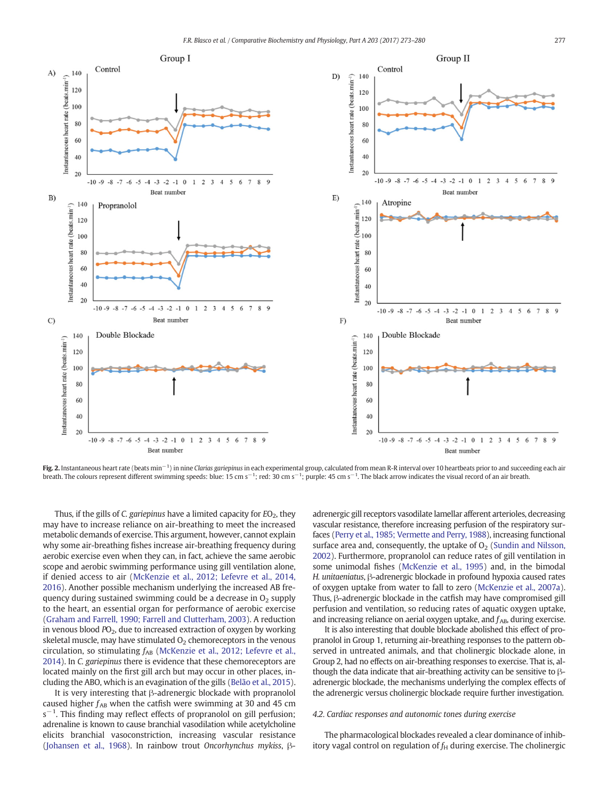<span id="page-4-0"></span>

Fig. 2. Instantaneous heart rate (beats min<sup>-1</sup>) in nine Clarias gariepinus in each experimental group, calculated from mean R-R interval over 10 heartbeats prior to and succeeding each air breath. The colours represent different swimming speeds: blue: 15 cm s<sup>-1</sup>; red: 30 cm s<sup>-1</sup>; purple: 45 cm s<sup>-1</sup>. The black arrow indicates the visual record of an air breath.

Thus, if the gills of C. gariepinus have a limited capacity for  $EO<sub>2</sub>$ , they may have to increase reliance on air-breathing to meet the increased metabolic demands of exercise. This argument, however, cannot explain why some air-breathing fishes increase air-breathing frequency during aerobic exercise even when they can, in fact, achieve the same aerobic scope and aerobic swimming performance using gill ventilation alone, if denied access to air [\(McKenzie et al., 2012; Lefevre et al., 2014,](#page-6-0) [2016\)](#page-6-0). Another possible mechanism underlying the increased AB frequency during sustained swimming could be a decrease in  $O<sub>2</sub>$  supply to the heart, an essential organ for performance of aerobic exercise [\(Graham and Farrell, 1990; Farrell and Clutterham, 2003](#page-6-0)). A reduction in venous blood  $PO<sub>2</sub>$ , due to increased extraction of oxygen by working skeletal muscle, may have stimulated  $O<sub>2</sub>$  chemoreceptors in the venous circulation, so stimulating  $f_{AB}$  [\(McKenzie et al., 2012; Lefevre et al.,](#page-6-0) [2014](#page-6-0)). In C. gariepinus there is evidence that these chemoreceptors are located mainly on the first gill arch but may occur in other places, including the ABO, which is an evagination of the gills [\(Belão et al., 2015](#page-6-0)).

It is very interesting that β-adrenergic blockade with propranolol caused higher  $f_{AB}$  when the catfish were swimming at 30 and 45 cm  $s^{-1}$ . This finding may reflect effects of propranolol on gill perfusion; adrenaline is known to cause branchial vasodilation while acetylcholine elicits branchial vasoconstriction, increasing vascular resistance [\(Johansen et al., 1968\)](#page-6-0). In rainbow trout Oncorhynchus mykiss, βadrenergic gill receptors vasodilate lamellar afferent arterioles, decreasing vascular resistance, therefore increasing perfusion of the respiratory surfaces ([Perry et al., 1985; Vermette and Perry, 1988\)](#page-6-0), increasing functional surface area and, consequently, the uptake of  $O<sub>2</sub>$  [\(Sundin and Nilsson,](#page-7-0) [2002](#page-7-0)). Furthermore, propranolol can reduce rates of gill ventilation in some unimodal fishes [\(McKenzie et al., 1995](#page-6-0)) and, in the bimodal H. unitaeniatus, β-adrenergic blockade in profound hypoxia caused rates of oxygen uptake from water to fall to zero [\(McKenzie et al., 2007a](#page-6-0)). Thus, β-adrenergic blockade in the catfish may have compromised gill perfusion and ventilation, so reducing rates of aquatic oxygen uptake, and increasing reliance on aerial oxygen uptake, and  $f_{AB}$ , during exercise.

It is also interesting that double blockade abolished this effect of propranolol in Group 1, returning air-breathing responses to the pattern observed in untreated animals, and that cholinergic blockade alone, in Group 2, had no effects on air-breathing responses to exercise. That is, although the data indicate that air-breathing activity can be sensitive to βadrenergic blockade, the mechanisms underlying the complex effects of the adrenergic versus cholinergic blockade require further investigation.

# 4.2. Cardiac responses and autonomic tones during exercise

The pharmacological blockades revealed a clear dominance of inhibitory vagal control on regulation of  $f_H$  during exercise. The cholinergic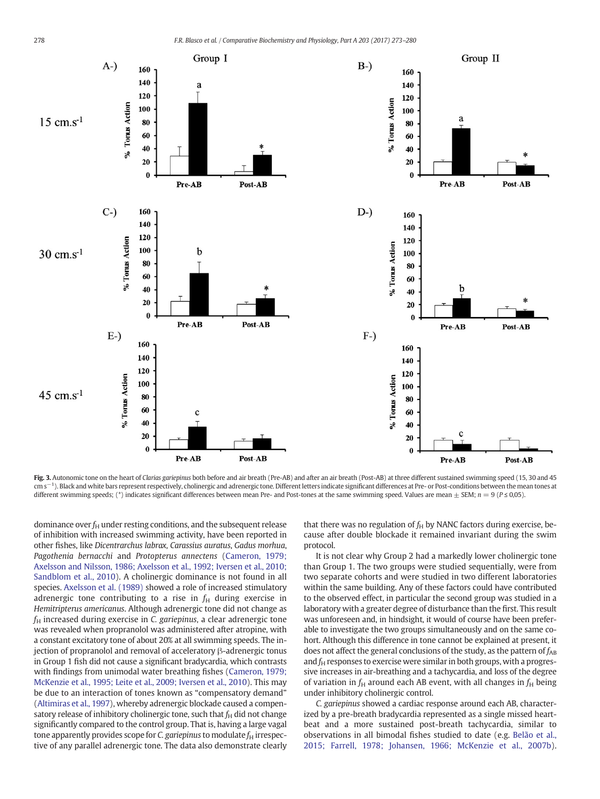<span id="page-5-0"></span>

Fig. 3. Autonomic tone on the heart of Clarias gariepinus both before and air breath (Pre-AB) and after an air breath (Post-AB) at three different sustained swimming speed (15, 30 and 45 cm s<sup>-1</sup>). Black and white bars represent respectively, cholinergic and adrenergic tone. Different letters indicate significant differences at Pre- or Post-conditions between the mean tones at different swimming speeds; (\*) indicates significant differences between mean Pre- and Post-tones at the same swimming speed. Values are mean  $\pm$  SEM;  $n = 9$  (P  $\leq$  0,05).

dominance over  $f_H$  under resting conditions, and the subsequent release of inhibition with increased swimming activity, have been reported in other fishes, like Dicentrarchus labrax, Carassius auratus, Gadus morhua, Pagothenia bernacchi and Protopterus annectens ([Cameron, 1979;](#page-6-0) [Axelsson and Nilsson, 1986; Axelsson et al., 1992; Iversen et al., 2010;](#page-6-0) [Sandblom et al., 2010\)](#page-6-0). A cholinergic dominance is not found in all species. [Axelsson et al. \(1989\)](#page-6-0) showed a role of increased stimulatory adrenergic tone contributing to a rise in  $f_H$  during exercise in Hemitripterus americanus. Although adrenergic tone did not change as  $f_H$  increased during exercise in C. gariepinus, a clear adrenergic tone was revealed when propranolol was administered after atropine, with a constant excitatory tone of about 20% at all swimming speeds. The injection of propranolol and removal of acceleratory β-adrenergic tonus in Group 1 fish did not cause a significant bradycardia, which contrasts with findings from unimodal water breathing fishes [\(Cameron, 1979;](#page-6-0) [McKenzie et al., 1995; Leite et al., 2009; Iversen et al., 2010](#page-6-0)). This may be due to an interaction of tones known as "compensatory demand" [\(Altimiras et al., 1997\)](#page-6-0), whereby adrenergic blockade caused a compensatory release of inhibitory cholinergic tone, such that  $f_H$  did not change significantly compared to the control group. That is, having a large vagal tone apparently provides scope for C. gariepinus to modulate  $f_H$  irrespective of any parallel adrenergic tone. The data also demonstrate clearly that there was no regulation of  $f_H$  by NANC factors during exercise, because after double blockade it remained invariant during the swim protocol.

It is not clear why Group 2 had a markedly lower cholinergic tone than Group 1. The two groups were studied sequentially, were from two separate cohorts and were studied in two different laboratories within the same building. Any of these factors could have contributed to the observed effect, in particular the second group was studied in a laboratory with a greater degree of disturbance than the first. This result was unforeseen and, in hindsight, it would of course have been preferable to investigate the two groups simultaneously and on the same cohort. Although this difference in tone cannot be explained at present, it does not affect the general conclusions of the study, as the pattern of  $f_{AB}$ and  $f_H$  responses to exercise were similar in both groups, with a progressive increases in air-breathing and a tachycardia, and loss of the degree of variation in  $f_H$  around each AB event, with all changes in  $f_H$  being under inhibitory cholinergic control.

C. gariepinus showed a cardiac response around each AB, characterized by a pre-breath bradycardia represented as a single missed heartbeat and a more sustained post-breath tachycardia, similar to observations in all bimodal fishes studied to date (e.g. [Belão et al.,](#page-6-0) [2015; Farrell, 1978; Johansen, 1966; McKenzie et al., 2007b](#page-6-0)).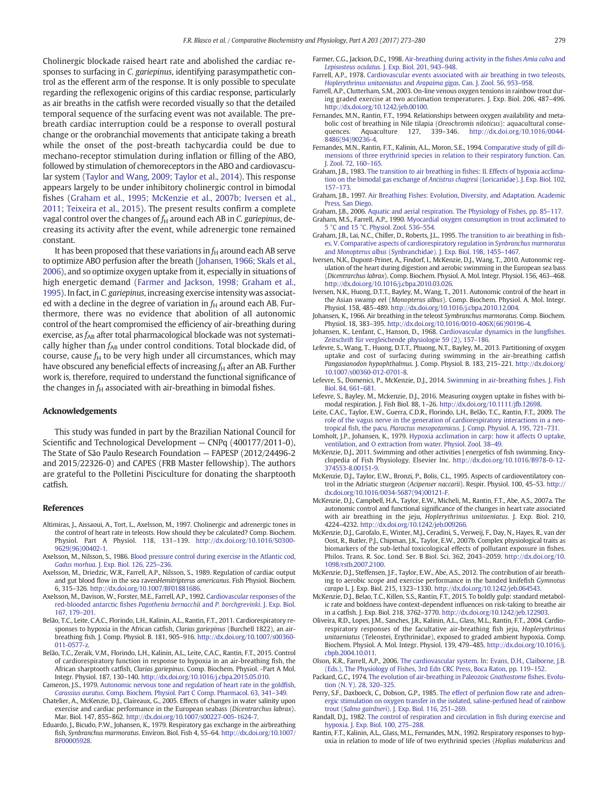<span id="page-6-0"></span>Cholinergic blockade raised heart rate and abolished the cardiac responses to surfacing in C. gariepinus, identifying parasympathetic control as the efferent arm of the response. It is only possible to speculate regarding the reflexogenic origins of this cardiac response, particularly as air breaths in the catfish were recorded visually so that the detailed temporal sequence of the surfacing event was not available. The prebreath cardiac interruption could be a response to overall postural change or the orobranchial movements that anticipate taking a breath while the onset of the post-breath tachycardia could be due to mechano-receptor stimulation during inflation or filling of the ABO, followed by stimulation of chemoreceptors in the ABO and cardiovascular system [\(Taylor and Wang, 2009; Taylor et al., 2014](#page-7-0)). This response appears largely to be under inhibitory cholinergic control in bimodal fishes (Graham et al., 1995; McKenzie et al., 2007b; Iversen et al., 2011; Teixeira et al., 2015). The present results confirm a complete vagal control over the changes of  $f_H$  around each AB in C. gariepinus, decreasing its activity after the event, while adrenergic tone remained constant.

It has been proposed that these variations in  $f_H$  around each AB serve to optimize ABO perfusion after the breath (Johansen, 1966; Skals et al., 2006), and so optimize oxygen uptake from it, especially in situations of high energetic demand (Farmer and Jackson, 1998; Graham et al., 1995). In fact, in C. gariepinus, increasing exercise intensity was associated with a decline in the degree of variation in  $f_H$  around each AB. Furthermore, there was no evidence that abolition of all autonomic control of the heart compromised the efficiency of air-breathing during exercise, as  $f_{AB}$  after total pharmacological blockade was not systematically higher than  $f_{AB}$  under control conditions. Total blockade did, of course, cause  $f_H$  to be very high under all circumstances, which may have obscured any beneficial effects of increasing  $f_H$  after an AB. Further work is, therefore, required to understand the functional significance of the changes in  $f_H$  associated with air-breathing in bimodal fishes.

#### Acknowledgements

This study was funded in part by the Brazilian National Council for Scientific and Technological Development — CNPq (400177/2011-0), The State of São Paulo Research Foundation — FAPESP (2012/24496-2 and 2015/22326-0) and CAPES (FRB Master fellowship). The authors are grateful to the Polletini Pisciculture for donating the sharptooth catfish.

#### References

- Altimiras, J., Aissaoui, A., Tort, L., Axelsson, M., 1997. Cholinergic and adrenergic tones in the control of heart rate in teleosts. How should they be calculated? Comp. Biochem. Physiol. Part A Physiol. 118, 131–139. http://dx.doi.org[/10.1016/S0300-](http://dx.doi.org/10.1016/S0300-9629(96)00402-1) [9629\(96\)00402-1](http://dx.doi.org/10.1016/S0300-9629(96)00402-1).
- Axelsson, M., Nilsson, S., 1986. [Blood pressure control during exercise in the Atlantic cod,](http://refhub.elsevier.com/S1095-6433(16)30224-0/rf0010) Gadus morhua[. J. Exp. Biol. 126, 225](http://refhub.elsevier.com/S1095-6433(16)30224-0/rf0010)–236.
- Axelsson, M., Driedzic, W.R., Farrell, A.P., Nilsson, S., 1989. Regulation of cardiac output and gut blood flow in the sea ravenHemitripterus americanus. Fish Physiol. Biochem. 6, 315–326. http://dx.doi.org[/10.1007/BF01881686](http://dx.doi.org/10.1007/BF01881686).
- Axelsson, M., Davison, W., Forster, M.E., Farrell, A.P., 1992. [Cardiovascular responses of the](http://refhub.elsevier.com/S1095-6433(16)30224-0/rf0020) [red-blooded antarctic](http://refhub.elsevier.com/S1095-6433(16)30224-0/rf0020) fishes Pagothenia bernacchii and P. borchgrevinki. J. Exp. Biol. [167, 179](http://refhub.elsevier.com/S1095-6433(16)30224-0/rf0020)–201.
- Belão, T.C., Leite, C.A.C., Florindo, L.H., Kalinin, A.L., Rantin, F.T., 2011. Cardiorespiratory responses to hypoxia in the African catfish, Clarias gariepinus (Burchell 1822), an airbreathing fish. J. Comp. Physiol. B. 181, 905–916. http://dx.doi.org[/10.1007/s00360-](http://dx.doi.org/10.1007/s00360-011-0577-z) [011-0577-z](http://dx.doi.org/10.1007/s00360-011-0577-z).
- Belão, T.C., Zeraik, V.M., Florindo, L.H., Kalinin, A.L., Leite, C.A.C., Rantin, F.T., 2015. Control of cardiorespiratory function in response to hypoxia in an air-breathing fish, the African sharptooth catfish, Clarias gariepinus. Comp. Biochem. Physiol. -Part A Mol. Integr. Physiol. 187, 130–140. http://dx.doi.org[/10.1016/j.cbpa.2015.05.010.](http://dx.doi.org/10.1016/j.cbpa.2015.05.010)
- Cameron, J.S., 1979. [Autonomic nervous tone and regulation of heart rate in the gold](http://refhub.elsevier.com/S1095-6433(16)30224-0/rf0035)fish, Carassius auratus[. Comp. Biochem. Physiol. Part C Comp. Pharmacol. 63, 341](http://refhub.elsevier.com/S1095-6433(16)30224-0/rf0035)–349.
- Chatelier, A., McKenzie, D.J., Claireaux, G., 2005. Effects of changes in water salinity upon exercise and cardiac performance in the European seabass (Dicentrarchus labrax). Mar. Biol. 147, 855–862. http://dx.doi.org[/10.1007/s00227-005-1624-7](http://dx.doi.org/10.1007/s00227-005-1624-7).
- Eduardo, J., Bicudo, P.W., Johansen, K., 1979. Respiratory gas exchange in the airbreathing fish, Synbranchus marmoratus. Environ. Biol. Fish 4, 55–64. http://dx.doi.org/[10.1007/](http://dx.doi.org/10.1007/BF00005928) [BF00005928.](http://dx.doi.org/10.1007/BF00005928)
- Farmer, C.G., Jackson, D.C., 1998. [Air-breathing during activity in the](http://refhub.elsevier.com/S1095-6433(16)30224-0/rf0050) fishes Amia calva and Lepisosteus oculatus[. J. Exp. Biol. 201, 943](http://refhub.elsevier.com/S1095-6433(16)30224-0/rf0050)–948.
- Farrell, A.P., 1978. [Cardiovascular events associated with air breathing in two teleosts,](http://refhub.elsevier.com/S1095-6433(16)30224-0/rf0055) [Hoplerythrinus unitaeniatus](http://refhub.elsevier.com/S1095-6433(16)30224-0/rf0055) and Arapaima gigas. Can. J. Zool. 56, 953–958.
- Farrell, A.P., Clutterham, S.M., 2003. On-line venous oxygen tensions in rainbow trout during graded exercise at two acclimation temperatures. J. Exp. Biol. 206, 487–496. http://dx.doi.org[/10.1242/jeb.00100.](http://dx.doi.org/10.1242/jeb.00100)
- Fernandes, M.N., Rantin, F.T., 1994. Relationships between oxygen availability and metabolic cost of breathing in Nile tilapia (Oreochromis niloticus): aquacultural consequences. Aquaculture 127, 339–346. http://dx.doi.org/[10.1016/0044-](http://dx.doi.org/10.1016/0044-8486(94)90236-4) [8486\(94\)90236-4](http://dx.doi.org/10.1016/0044-8486(94)90236-4).
- Fernandes, M.N., Rantin, F.T., Kalinin, A.L., Moron, S.E., 1994. [Comparative study of gill di](http://refhub.elsevier.com/S1095-6433(16)30224-0/rf0070)[mensions of three erythrinid species in relation to their respiratory function. Can.](http://refhub.elsevier.com/S1095-6433(16)30224-0/rf0070) [J. Zool. 72, 160](http://refhub.elsevier.com/S1095-6433(16)30224-0/rf0070)–165.
- Graham, J.B., 1983. The transition to air breathing in fi[shes: II. Effects of hypoxia acclima](http://refhub.elsevier.com/S1095-6433(16)30224-0/rf0075)[tion on the bimodal gas exchange of](http://refhub.elsevier.com/S1095-6433(16)30224-0/rf0075) Ancistrus chagresi (Loricariidae). J. Exp. Biol. 102, [157](http://refhub.elsevier.com/S1095-6433(16)30224-0/rf0075)–173.
- Graham, J.B., 1997. [Air Breathing Fishes: Evolution, Diversity, and Adaptation. Academic](http://refhub.elsevier.com/S1095-6433(16)30224-0/rf0080) [Press, San Diego.](http://refhub.elsevier.com/S1095-6433(16)30224-0/rf0080)
- Graham, J.B., 2006. [Aquatic and aerial respiration. The Physiology of Fishes, pp. 85](http://refhub.elsevier.com/S1095-6433(16)30224-0/rf0085)–117. Graham, M.S., Farrell, A.P., 1990. [Myocardial oxygen consumption in trout acclimated to](http://refhub.elsevier.com/S1095-6433(16)30224-0/rf0090) [5 °C and 15 °C. Physiol. Zool. 536](http://refhub.elsevier.com/S1095-6433(16)30224-0/rf0090)–554.
- Graham, J.B., Lai, N.C., Chiller, D., Roberts, J.L., 1995. [The transition to air breathing in](http://refhub.elsevier.com/S1095-6433(16)30224-0/rf0095) fish[es. V. Comparative aspects of cardiorespiratory regulation in](http://refhub.elsevier.com/S1095-6433(16)30224-0/rf0095) Synbranchus marmoratus and Monopterus albus [\(Synbranchidae\). J. Exp. Biol. 198, 1455](http://refhub.elsevier.com/S1095-6433(16)30224-0/rf0095)–1467.
- Iversen, N.K., Dupont-Prinet, A., Findorf, I., McKenzie, D.J., Wang, T., 2010. Autonomic regulation of the heart during digestion and aerobic swimming in the European sea bass (Dicentrarchus labrax). Comp. Biochem. Physiol. A. Mol. Integr. Physiol. 156, 463–468. http://dx.doi.org[/10.1016/j.cbpa.2010.03.026.](http://dx.doi.org/10.1016/j.cbpa.2010.03.026)
- Iversen, N.K., Huong, D.T.T., Bayley, M., Wang, T., 2011. Autonomic control of the heart in the Asian swamp eel (Monopterus albus). Comp. Biochem. Physiol. A. Mol. Integr. Physiol. 158, 485–489. http://dx.doi.org[/10.1016/j.cbpa.2010.12.004](http://dx.doi.org/10.1016/j.cbpa.2010.12.004).
- Johansen, K., 1966. Air breathing in the teleost Symbranchus marmoratus. Comp. Biochem. Physiol. 18, 383–395. http://dx.doi.org[/10.1016/0010-406X\(66\)90196-4](http://dx.doi.org/10.1016/0010-406X(66)90196-4).
- Johansen, K., Lenfant, C., Hanson, D., 1968. [Cardiovascular dynamics in the lung](http://refhub.elsevier.com/S1095-6433(16)30224-0/rf0115)fishes. [Zeitschrift für vergleichende physiologie 59 \(2\), 157](http://refhub.elsevier.com/S1095-6433(16)30224-0/rf0115)–186.
- Lefevre, S., Wang, T., Huong, D.T.T., Phuong, N.T., Bayley, M., 2013. Partitioning of oxygen uptake and cost of surfacing during swimming in the air-breathing catfish Pangasianodon hypophthalmus. J. Comp. Physiol. B. 183, 215–221. http://dx.doi.org/ [10.1007/s00360-012-0701-8.](http://dx.doi.org/10.1007/s00360-012-0701-8)
- Lefevre, S., Domenici, P., McKenzie, D.J., 2014. [Swimming in air-breathing](http://refhub.elsevier.com/S1095-6433(16)30224-0/rf0125) fishes. J. Fish [Biol. 84, 661](http://refhub.elsevier.com/S1095-6433(16)30224-0/rf0125)–681.
- Lefevre, S., Bayley, M., Mckenzie, D.J., 2016. Measuring oxygen uptake in fishes with bimodal respiration. J. Fish Biol. 88, 1–26. http://dx.doi.org[/10.1111/jfb.12698.](http://dx.doi.org/10.1111/jfb.12698)
- Leite, C.A.C., Taylor, E.W., Guerra, C.D.R., Florindo, L.H., Belão, T.C., Rantin, F.T., 2009. [The](http://refhub.elsevier.com/S1095-6433(16)30224-0/rf0135) [role of the vagus nerve in the generation of cardiorespiratory interactions in a neo](http://refhub.elsevier.com/S1095-6433(16)30224-0/rf0135)tropical fish, the pacu, Piaractus mesopotamicus[. J. Comp. Physiol. A. 195, 721](http://refhub.elsevier.com/S1095-6433(16)30224-0/rf0135)–731.
- Lomholt, J.P., Johansen, K., 1979. [Hypoxia acclimation in carp: how it affects O uptake,](http://refhub.elsevier.com/S1095-6433(16)30224-0/rf0140) [ventilation, and O extraction from water. Physiol. Zool. 38](http://refhub.elsevier.com/S1095-6433(16)30224-0/rf0140)–49.
- McKenzie, D.J., 2011. Swimming and other activities | energetics of fish swimming. Encyclopedia of Fish Physiology. Elsevier Inc. http://dx.doi.org[/10.1016/B978-0-12-](http://dx.doi.org/10.1016/B978-0-12-374553-8.00151-9) [374553-8.00151-9](http://dx.doi.org/10.1016/B978-0-12-374553-8.00151-9).
- McKenzie, D.J., Taylor, E.W., Bronzi, P., Bolis, C.L., 1995. Aspects of cardioventilatory control in the Adriatic sturgeon (Acipenser naccarii). Respir. Physiol. 100, 45–53. http:// dx.doi.org/[10.1016/0034-5687\(94\)00121-F.](http://dx.doi.org/10.1016/0034-5687(94)00121-F)
- McKenzie, D.J., Campbell, H.A., Taylor, E.W., Micheli, M., Rantin, F.T., Abe, A.S., 2007a. The autonomic control and functional significance of the changes in heart rate associated with air breathing in the jeju, Hoplerythrinus unitaeniatus. J. Exp. Biol. 210, 4224–4232. http://dx.doi.org[/10.1242/jeb.009266.](http://dx.doi.org/10.1242/jeb.009266)
- McKenzie, D.J., Garofalo, E., Winter, M.J., Ceradini, S., Verweij, F., Day, N., Hayes, R., van der Oost, R., Butler, P.J., Chipman, J.K., Taylor, E.W., 2007b. Complex physiological traits as biomarkers of the sub-lethal toxicological effects of pollutant exposure in fishes. Philos. Trans. R. Soc. Lond. Ser. B Biol. Sci. 362, 2043–2059. http://dx.doi.org/[10.](http://dx.doi.org/10.1098/rstb.2007.2100) [1098/rstb.2007.2100](http://dx.doi.org/10.1098/rstb.2007.2100).
- McKenzie, D.J., Steffensen, J.F., Taylor, E.W., Abe, A.S., 2012. The contribution of air breathing to aerobic scope and exercise performance in the banded knifefish Gymnotus carapo L. J. Exp. Biol. 215, 1323–1330. http://dx.doi.org[/10.1242/jeb.064543](http://dx.doi.org/10.1242/jeb.064543).
- McKenzie, D.J., Belao, T.C., Killen, S.S., Rantin, F.T., 2015. To boldly gulp: standard metabolic rate and boldness have context-dependent influences on risk-taking to breathe air in a catfish. J. Exp. Biol. 218, 3762–3770. http://dx.doi.org/[10.1242/jeb.122903.](http://dx.doi.org/10.1242/jeb.122903)
- Oliveira, R.D., Lopes, J.M., Sanches, J.R., Kalinin, A.L., Glass, M.L., Rantin, F.T., 2004. Cardiorespiratory responses of the facultative air-breathing fish jeju, Hoplerythrinus unitaeniatus (Teleostei, Erythrinidae), exposed to graded ambient hypoxia. Comp. Biochem. Physiol. A. Mol. Integr. Physiol. 139, 479–485. http://dx.doi.org[/10.1016/j.](http://dx.doi.org/10.1016/j.cbpb.2004.10.011) [cbpb.2004.10.011](http://dx.doi.org/10.1016/j.cbpb.2004.10.011).
- Olson, K.R., Farrell, A.P., 2006. [The cardiovascular system. In: Evans, D.H., Claiborne, J.B.](http://refhub.elsevier.com/S1095-6433(16)30224-0/rf0180) [\(Eds.\), The Physiology of Fishes, 3rd Edn CRC Press, Boca Raton, pp. 119](http://refhub.elsevier.com/S1095-6433(16)30224-0/rf0180)–152.
- Packard, G.C., 1974. [The evolution of air-breathing in Paleozoic](http://refhub.elsevier.com/S1095-6433(16)30224-0/rf0185) Gnathostome fishes. Evolu[tion \(N. Y\). 28, 320](http://refhub.elsevier.com/S1095-6433(16)30224-0/rf0185)–325. Perry, S.F., Daxboeck, C., Dobson, G.P., 1985. [The effect of perfusion](http://refhub.elsevier.com/S1095-6433(16)30224-0/rf0190) flow rate and adren-
- [ergic stimulation on oxygen transfer in the isolated, saline-perfused head of rainbow](http://refhub.elsevier.com/S1095-6433(16)30224-0/rf0190) trout (Salmo gairdneri[\). J. Exp. Biol. 116, 251](http://refhub.elsevier.com/S1095-6433(16)30224-0/rf0190)–269.
- Randall, D.J., 1982. [The control of respiration and circulation in](http://refhub.elsevier.com/S1095-6433(16)30224-0/rf0195) fish during exercise and [hypoxia. J. Exp. Biol. 100, 275](http://refhub.elsevier.com/S1095-6433(16)30224-0/rf0195)–288.
- Rantin, F.T., Kalinin, A.L., Glass, M.L., Fernandes, M.N., 1992. Respiratory responses to hypoxia in relation to mode of life of two erythrinid species (Hoplias malabaricus and